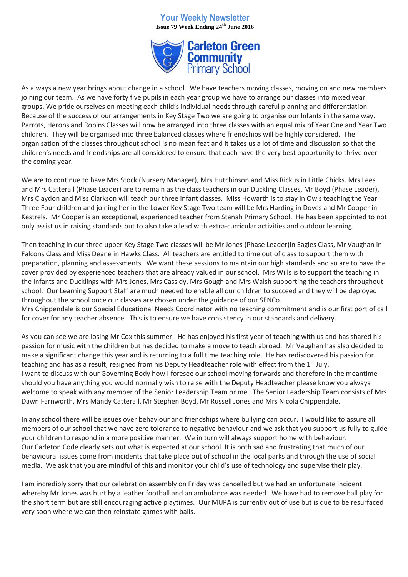# **Your Weekly Newsletter Issue 79 Week Ending 24th June 2016**



As always a new year brings about change in a school. We have teachers moving classes, moving on and new members joining our team. As we have forty five pupils in each year group we have to arrange our classes into mixed year groups. We pride ourselves on meeting each child's individual needs through careful planning and differentiation. Because of the success of our arrangements in Key Stage Two we are going to organise our Infants in the same way. Parrots, Herons and Robins Classes will now be arranged into three classes with an equal mix of Year One and Year Two children. They will be organised into three balanced classes where friendships will be highly considered. The organisation of the classes throughout school is no mean feat and it takes us a lot of time and discussion so that the children's needs and friendships are all considered to ensure that each have the very best opportunity to thrive over the coming year.

We are to continue to have Mrs Stock (Nursery Manager), Mrs Hutchinson and Miss Rickus in Little Chicks. Mrs Lees and Mrs Catterall (Phase Leader) are to remain as the class teachers in our Duckling Classes, Mr Boyd (Phase Leader), Mrs Claydon and Miss Clarkson will teach our three infant classes. Miss Howarth is to stay in Owls teaching the Year Three Four children and joining her in the Lower Key Stage Two team will be Mrs Harding in Doves and Mr Cooper in Kestrels. Mr Cooper is an exceptional, experienced teacher from Stanah Primary School. He has been appointed to not only assist us in raising standards but to also take a lead with extra-curricular activities and outdoor learning.

Then teaching in our three upper Key Stage Two classes will be Mr Jones (Phase Leader)in Eagles Class, Mr Vaughan in Falcons Class and Miss Deane in Hawks Class. All teachers are entitled to time out of class to support them with preparation, planning and assessments. We want these sessions to maintain our high standards and so are to have the cover provided by experienced teachers that are already valued in our school. Mrs Wills is to support the teaching in the Infants and Ducklings with Mrs Jones, Mrs Cassidy, Mrs Gough and Mrs Walsh supporting the teachers throughout school. Our Learning Support Staff are much needed to enable all our children to succeed and they will be deployed throughout the school once our classes are chosen under the guidance of our SENCo. Mrs Chippendale is our Special Educational Needs Coordinator with no teaching commitment and is our first port of call for cover for any teacher absence. This is to ensure we have consistency in our standards and delivery.

As you can see we are losing Mr Cox this summer. He has enjoyed his first year of teaching with us and has shared his passion for music with the children but has decided to make a move to teach abroad. Mr Vaughan has also decided to make a significant change this year and is returning to a full time teaching role. He has rediscovered his passion for teaching and has as a result, resigned from his Deputy Headteacher role with effect from the 1<sup>st</sup> July. I want to discuss with our Governing Body how I foresee our school moving forwards and therefore in the meantime should you have anything you would normally wish to raise with the Deputy Headteacher please know you always welcome to speak with any member of the Senior Leadership Team or me. The Senior Leadership Team consists of Mrs Dawn Farnworth, Mrs Mandy Catterall, Mr Stephen Boyd, Mr Russell Jones and Mrs Nicola Chippendale.

In any school there will be issues over behaviour and friendships where bullying can occur. I would like to assure all members of our school that we have zero tolerance to negative behaviour and we ask that you support us fully to guide your children to respond in a more positive manner. We in turn will always support home with behaviour. Our Carleton Code clearly sets out what is expected at our school. It is both sad and frustrating that much of our behavioural issues come from incidents that take place out of school in the local parks and through the use of social media. We ask that you are mindful of this and monitor your child's use of technology and supervise their play.

I am incredibly sorry that our celebration assembly on Friday was cancelled but we had an unfortunate incident whereby Mr Jones was hurt by a leather football and an ambulance was needed. We have had to remove ball play for the short term but are still encouraging active playtimes. Our MUPA is currently out of use but is due to be resurfaced very soon where we can then reinstate games with balls.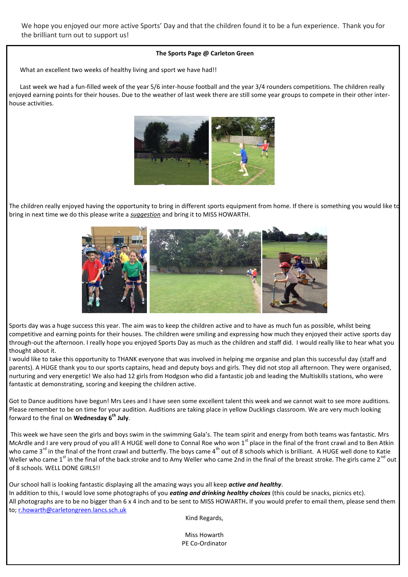We hope you enjoyed our more active Sports' Day and that the children found it to be a fun experience. Thank you for the brilliant turn out to support us!

#### **The Sports Page @ Carleton Green**

What an excellent two weeks of healthy living and sport we have had!!

 Last week we had a fun-filled week of the year 5/6 inter-house football and the year 3/4 rounders competitions. The children really enjoyed earning points for their houses. Due to the weather of last week there are still some year groups to compete in their other interhouse activities.



The children really enjoyed having the opportunity to bring in different sports equipment from home. If there is something you would like to bring in next time we do this please write a *suggestion* and bring it to MISS HOWARTH.



Sports day was a huge success this year. The aim was to keep the children active and to have as much fun as possible, whilst being competitive and earning points for their houses. The children were smiling and expressing how much they enjoyed their active sports day through-out the afternoon. I really hope you enjoyed Sports Day as much as the children and staff did. I would really like to hear what you thought about it.

I would like to take this opportunity to THANK everyone that was involved in helping me organise and plan this successful day (staff and parents). A HUGE thank you to our sports captains, head and deputy boys and girls. They did not stop all afternoon. They were organised, nurturing and very energetic! We also had 12 girls from Hodgson who did a fantastic job and leading the Multiskills stations, who were fantastic at demonstrating, scoring and keeping the children active.

Got to Dance auditions have begun! Mrs Lees and I have seen some excellent talent this week and we cannot wait to see more auditions. Please remember to be on time for your audition. Auditions are taking place in yellow Ducklings classroom. We are very much looking forward to the final on **Wednesday 6th July**.

This week we have seen the girls and boys swim in the swimming Gala's. The team spirit and energy from both teams was fantastic. Mrs McArdle and I are very proud of you all! A HUGE well done to Connal Roe who won  $1<sup>st</sup>$  place in the final of the front crawl and to Ben Atkin who came  $3^{rd}$  in the final of the front crawl and butterfly. The boys came 4<sup>th</sup> out of 8 schools which is brilliant. A HUGE well done to Katie Weller who came 1<sup>st</sup> in the final of the back stroke and to Amy Weller who came 2nd in the final of the breast stroke. The girls came 2<sup>nd</sup> out of 8 schools. WELL DONE GIRLS!!

Our school hall is looking fantastic displaying all the amazing ways you all keep *active and healthy*. In addition to this, I would love some photographs of you *eating and drinking healthy choices* (this could be snacks, picnics etc). All photographs are to be no bigger than 6 x 4 inch and to be sent to MISS HOWARTH**.** If you would prefer to email them, please send them to; [r.howarth@carletongreen.lancs.sch.uk](mailto:r.howarth@carletongreen.lancs.sch.uk)

Kind Regards,

Miss Howarth PE Co-Ordinator